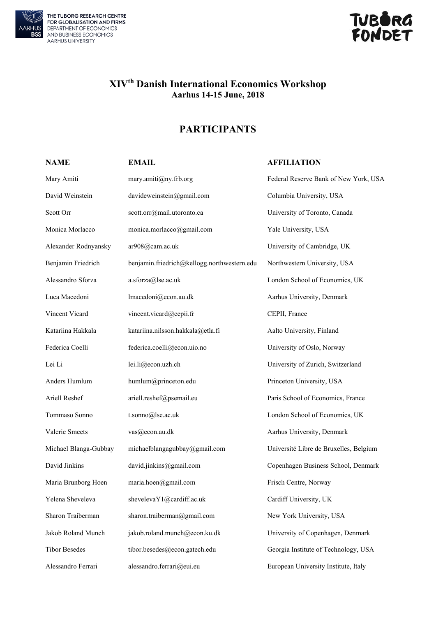

THE TUBORG RESEARCH CENTRE<br>FOR GLOBALISATION AND FIRMS<br>DEPARTMENT OF ECONOMICS<br>AND BUSINESS ECONOMICS AARHUS UNIVERSITY



## **XIVth Danish International Economics Workshop Aarhus 14-15 June, 2018**

## **PARTICIPANTS**

## **NAME EMAIL EMAIL AFFILIATION**

| Mary Amiti            | mary.amiti@ny.frb.org                       | Federal Reserve Bank of New York, USA  |
|-----------------------|---------------------------------------------|----------------------------------------|
| David Weinstein       | davideweinstein@gmail.com                   | Columbia University, USA               |
| Scott Orr             | scott.orr@mail.utoronto.ca                  | University of Toronto, Canada          |
| Monica Morlacco       | monica.morlacco@gmail.com                   | Yale University, USA                   |
| Alexander Rodnyansky  | ar908@cam.ac.uk                             | University of Cambridge, UK            |
| Benjamin Friedrich    | benjamin.friedrich@kellogg.northwestern.edu | Northwestern University, USA           |
| Alessandro Sforza     | a.sforza@lse.ac.uk                          | London School of Economics, UK         |
| Luca Macedoni         | lmacedoni@econ.au.dk                        | Aarhus University, Denmark             |
| Vincent Vicard        | vincent.vicard@cepii.fr                     | CEPII, France                          |
| Katariina Hakkala     | katariina.nilsson.hakkala@etla.fi           | Aalto University, Finland              |
| Federica Coelli       | federica.coelli@econ.uio.no                 | University of Oslo, Norway             |
| Lei Li                | lei.li@econ.uzh.ch                          | University of Zurich, Switzerland      |
| Anders Humlum         | humlum@princeton.edu                        | Princeton University, USA              |
| Ariell Reshef         | ariell.reshef@psemail.eu                    | Paris School of Economics, France      |
| Tommaso Sonno         | t.sonno@lse.ac.uk                           | London School of Economics, UK         |
| Valerie Smeets        | vas@econ.au.dk                              | Aarhus University, Denmark             |
| Michael Blanga-Gubbay | michaelblangagubbay@gmail.com               | Université Libre de Bruxelles, Belgium |
| David Jinkins         | david.jinkins@gmail.com                     | Copenhagen Business School, Denmark    |
| Maria Brunborg Hoen   | maria.hoen@gmail.com                        | Frisch Centre, Norway                  |
| Yelena Sheveleva      | shevelevaY1@cardiff.ac.uk                   | Cardiff University, UK                 |
| Sharon Traiberman     | sharon.traiberman@gmail.com                 | New York University, USA               |
| Jakob Roland Munch    | jakob.roland.munch@econ.ku.dk               | University of Copenhagen, Denmark      |
| <b>Tibor Besedes</b>  | tibor.besedes@econ.gatech.edu               | Georgia Institute of Technology, USA   |
| Alessandro Ferrari    | alessandro.ferrari@eui.eu                   | European University Institute, Italy   |